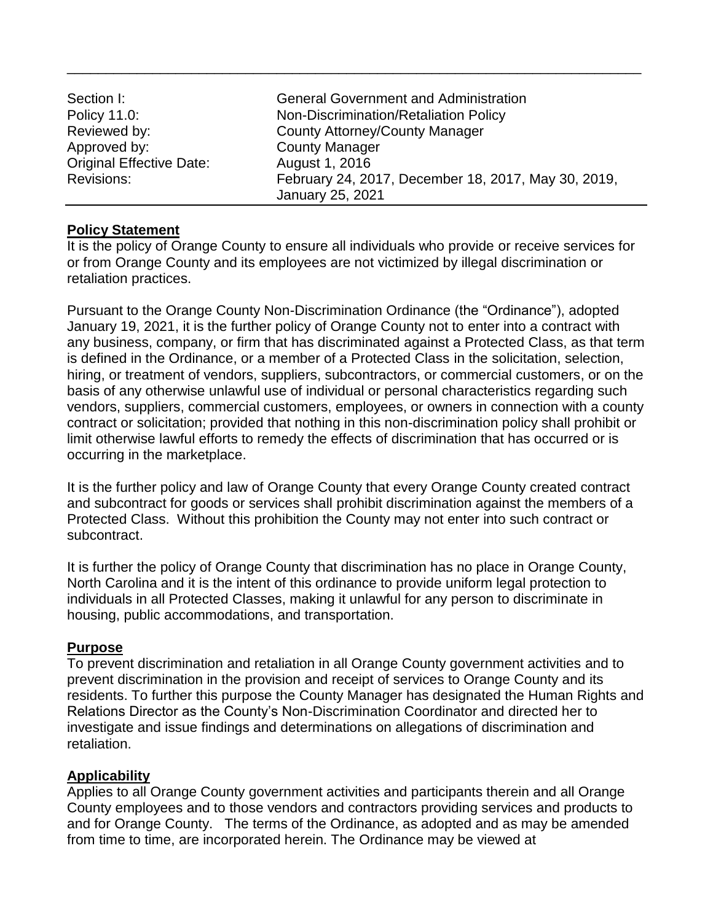| Section I:                      | <b>General Government and Administration</b>        |
|---------------------------------|-----------------------------------------------------|
| Policy 11.0:                    | Non-Discrimination/Retaliation Policy               |
| Reviewed by:                    | <b>County Attorney/County Manager</b>               |
| Approved by:                    | <b>County Manager</b>                               |
| <b>Original Effective Date:</b> | August 1, 2016                                      |
| <b>Revisions:</b>               | February 24, 2017, December 18, 2017, May 30, 2019, |
|                                 | January 25, 2021                                    |

\_\_\_\_\_\_\_\_\_\_\_\_\_\_\_\_\_\_\_\_\_\_\_\_\_\_\_\_\_\_\_\_\_\_\_\_\_\_\_\_\_\_\_\_\_\_\_\_\_\_\_\_\_\_\_\_\_\_\_\_\_\_\_\_\_\_\_\_\_\_\_\_\_\_

#### **Policy Statement**

It is the policy of Orange County to ensure all individuals who provide or receive services for or from Orange County and its employees are not victimized by illegal discrimination or retaliation practices.

Pursuant to the Orange County Non-Discrimination Ordinance (the "Ordinance"), adopted January 19, 2021, it is the further policy of Orange County not to enter into a contract with any business, company, or firm that has discriminated against a Protected Class, as that term is defined in the Ordinance, or a member of a Protected Class in the solicitation, selection, hiring, or treatment of vendors, suppliers, subcontractors, or commercial customers, or on the basis of any otherwise unlawful use of individual or personal characteristics regarding such vendors, suppliers, commercial customers, employees, or owners in connection with a county contract or solicitation; provided that nothing in this non-discrimination policy shall prohibit or limit otherwise lawful efforts to remedy the effects of discrimination that has occurred or is occurring in the marketplace.

It is the further policy and law of Orange County that every Orange County created contract and subcontract for goods or services shall prohibit discrimination against the members of a Protected Class. Without this prohibition the County may not enter into such contract or subcontract.

It is further the policy of Orange County that discrimination has no place in Orange County, North Carolina and it is the intent of this ordinance to provide uniform legal protection to individuals in all Protected Classes, making it unlawful for any person to discriminate in housing, public accommodations, and transportation.

## **Purpose**

To prevent discrimination and retaliation in all Orange County government activities and to prevent discrimination in the provision and receipt of services to Orange County and its residents. To further this purpose the County Manager has designated the Human Rights and Relations Director as the County's Non-Discrimination Coordinator and directed her to investigate and issue findings and determinations on allegations of discrimination and retaliation.

## **Applicability**

Applies to all Orange County government activities and participants therein and all Orange County employees and to those vendors and contractors providing services and products to and for Orange County. The terms of the Ordinance, as adopted and as may be amended from time to time, are incorporated herein. The Ordinance may be viewed at